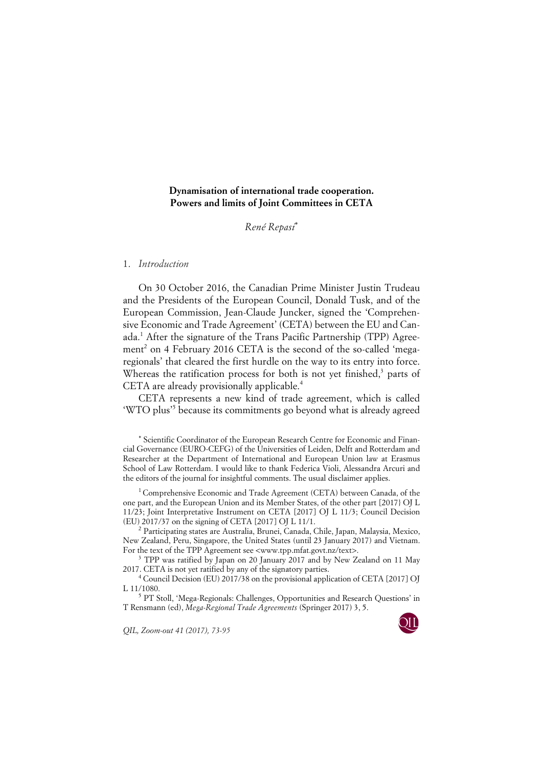# **Dynamisation of international trade cooperation. Powers and limits of Joint Committees in CETA**

*René Repasi*\*

### 1. *Introduction*

On 30 October 2016, the Canadian Prime Minister Justin Trudeau and the Presidents of the European Council, Donald Tusk, and of the European Commission, Jean-Claude Juncker, signed the 'Comprehensive Economic and Trade Agreement' (CETA) between the EU and Canada.1 After the signature of the Trans Pacific Partnership (TPP) Agreement<sup>2</sup> on 4 February 2016 CETA is the second of the so-called 'megaregionals' that cleared the first hurdle on the way to its entry into force. Whereas the ratification process for both is not yet finished, $3$  parts of CETA are already provisionally applicable.<sup>4</sup>

CETA represents a new kind of trade agreement, which is called 'WTO plus'5 because its commitments go beyond what is already agreed

\* Scientific Coordinator of the European Research Centre for Economic and Financial Governance (EURO-CEFG) of the Universities of Leiden, Delft and Rotterdam and Researcher at the Department of International and European Union law at Erasmus School of Law Rotterdam. I would like to thank Federica Violi, Alessandra Arcuri and the editors of the journal for insightful comments. The usual disclaimer applies.

<sup>1</sup> Comprehensive Economic and Trade Agreement (CETA) between Canada, of the one part, and the European Union and its Member States, of the other part [2017} OJ L 11/23; Joint Interpretative Instrument on CETA [2017] OJ L 11/3; Council Decision (EU) 2017/37 on the signing of CETA [2017] OJ L 11/1.

<sup>2</sup> Participating states are Australia, Brunei, Canada, Chile, Japan, Malaysia, Mexico, New Zealand, Peru, Singapore, the United States (until 23 January 2017) and Vietnam. For the text of the TPP Agreement see <www.tpp.mfat.govt.nz/text>.

<sup>3</sup> TPP was ratified by Japan on 20 January 2017 and by New Zealand on 11 May 2017. CETA is not yet ratified by any of the signatory parties.

<sup>4</sup> Council Decision (EU) 2017/38 on the provisional application of CETA [2017] OJ L 11/1080.

<sup>5</sup> PT Stoll, 'Mega-Regionals: Challenges, Opportunities and Research Questions' in T Rensmann (ed), *Mega-Regional Trade Agreements* (Springer 2017) 3, 5.

*QIL, Zoom-out 41 (2017), 73-95* 

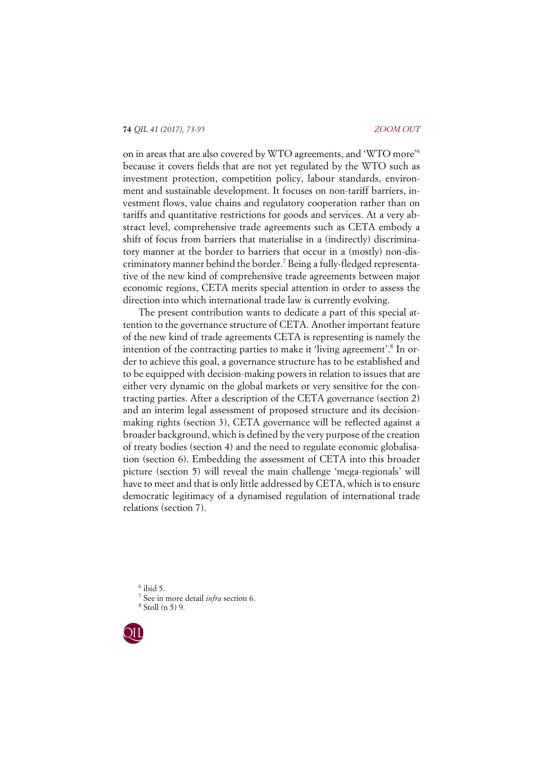on in areas that are also covered by WTO agreements, and 'WTO more'6 because it covers fields that are not yet regulated by the WTO such as investment protection, competition policy, labour standards, environment and sustainable development. It focuses on non-tariff barriers, investment flows, value chains and regulatory cooperation rather than on tariffs and quantitative restrictions for goods and services. At a very abstract level, comprehensive trade agreements such as CETA embody a shift of focus from barriers that materialise in a (indirectly) discriminatory manner at the border to barriers that occur in a (mostly) non-discriminatory manner behind the border.<sup>7</sup> Being a fully-fledged representative of the new kind of comprehensive trade agreements between major economic regions, CETA merits special attention in order to assess the direction into which international trade law is currently evolving.

The present contribution wants to dedicate a part of this special attention to the governance structure of CETA. Another important feature of the new kind of trade agreements CETA is representing is namely the intention of the contracting parties to make it 'living agreement'.<sup>8</sup> In order to achieve this goal, a governance structure has to be established and to be equipped with decision-making powers in relation to issues that are either very dynamic on the global markets or very sensitive for the contracting parties. After a description of the CETA governance (section 2) and an interim legal assessment of proposed structure and its decisionmaking rights (section 3), CETA governance will be reflected against a broader background, which is defined by the very purpose of the creation of treaty bodies (section 4) and the need to regulate economic globalisation (section 6). Embedding the assessment of CETA into this broader picture (section 5) will reveal the main challenge 'mega-regionals' will have to meet and that is only little addressed by CETA, which is to ensure democratic legitimacy of a dynamised regulation of international trade relations (section 7).

 $6$  ibid 5. <sup>7</sup> See in more detail *infra* section 6. <sup>8</sup> Stoll (n 5) 9.

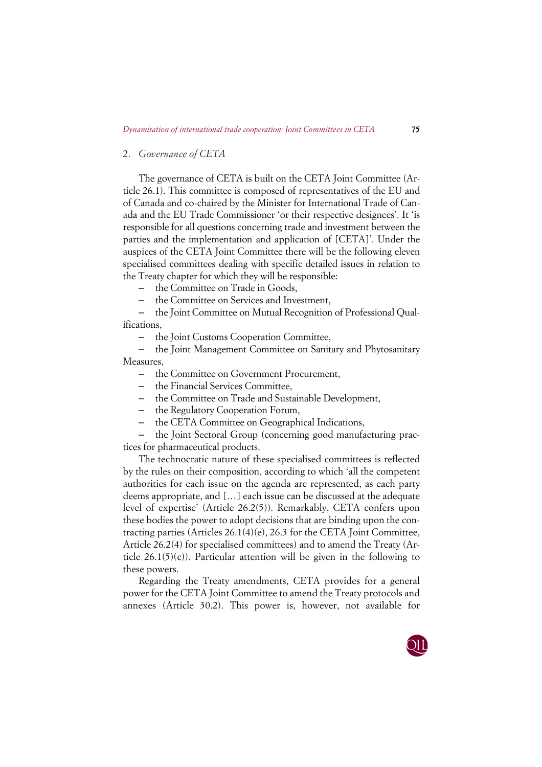## 2. *Governance of CETA*

The governance of CETA is built on the CETA Joint Committee (Article 26.1). This committee is composed of representatives of the EU and of Canada and co-chaired by the Minister for International Trade of Canada and the EU Trade Commissioner 'or their respective designees'. It 'is responsible for all questions concerning trade and investment between the parties and the implementation and application of [CETA]'. Under the auspices of the CETA Joint Committee there will be the following eleven specialised committees dealing with specific detailed issues in relation to the Treaty chapter for which they will be responsible:

– the Committee on Trade in Goods,

– the Committee on Services and Investment,

– the Joint Committee on Mutual Recognition of Professional Qualifications,

– the Joint Customs Cooperation Committee,

– the Joint Management Committee on Sanitary and Phytosanitary Measures,

- the Committee on Government Procurement,
- the Financial Services Committee,
- the Committee on Trade and Sustainable Development,
- the Regulatory Cooperation Forum,
- the CETA Committee on Geographical Indications,

– the Joint Sectoral Group (concerning good manufacturing practices for pharmaceutical products.

The technocratic nature of these specialised committees is reflected by the rules on their composition, according to which 'all the competent authorities for each issue on the agenda are represented, as each party deems appropriate, and […] each issue can be discussed at the adequate level of expertise' (Article 26.2(5)). Remarkably, CETA confers upon these bodies the power to adopt decisions that are binding upon the contracting parties (Articles 26.1(4)(e), 26.3 for the CETA Joint Committee, Article 26.2(4) for specialised committees) and to amend the Treaty (Article  $26.1(5)(c)$ ). Particular attention will be given in the following to these powers.

Regarding the Treaty amendments, CETA provides for a general power for the CETA Joint Committee to amend the Treaty protocols and annexes (Article 30.2). This power is, however, not available for

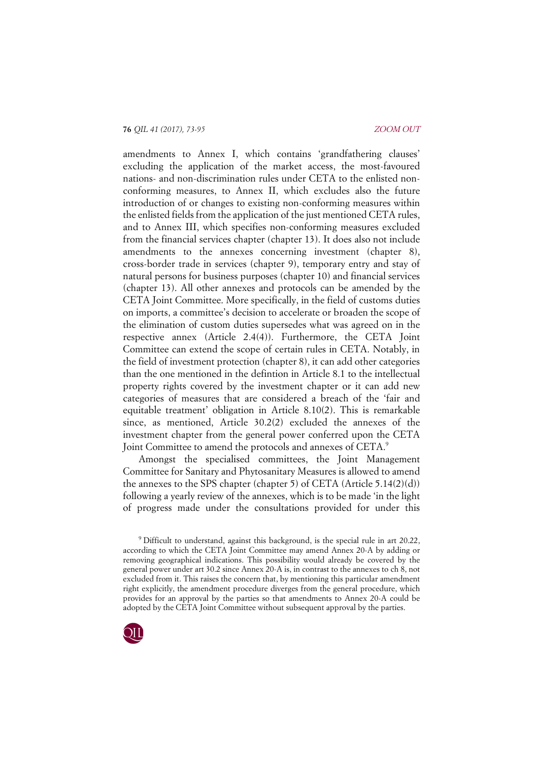amendments to Annex I, which contains 'grandfathering clauses' excluding the application of the market access, the most-favoured nations- and non-discrimination rules under CETA to the enlisted nonconforming measures, to Annex II, which excludes also the future introduction of or changes to existing non-conforming measures within the enlisted fields from the application of the just mentioned CETA rules, and to Annex III, which specifies non-conforming measures excluded from the financial services chapter (chapter 13). It does also not include amendments to the annexes concerning investment (chapter 8), cross-border trade in services (chapter 9), temporary entry and stay of natural persons for business purposes (chapter 10) and financial services (chapter 13). All other annexes and protocols can be amended by the CETA Joint Committee. More specifically, in the field of customs duties on imports, a committee's decision to accelerate or broaden the scope of the elimination of custom duties supersedes what was agreed on in the respective annex (Article 2.4(4)). Furthermore, the CETA Joint Committee can extend the scope of certain rules in CETA. Notably, in the field of investment protection (chapter 8), it can add other categories than the one mentioned in the defintion in Article 8.1 to the intellectual property rights covered by the investment chapter or it can add new categories of measures that are considered a breach of the 'fair and equitable treatment' obligation in Article 8.10(2). This is remarkable since, as mentioned, Article 30.2(2) excluded the annexes of the investment chapter from the general power conferred upon the CETA Joint Committee to amend the protocols and annexes of CETA.9

Amongst the specialised committees, the Joint Management Committee for Sanitary and Phytosanitary Measures is allowed to amend the annexes to the SPS chapter (chapter 5) of CETA (Article 5.14(2)(d)) following a yearly review of the annexes, which is to be made 'in the light of progress made under the consultations provided for under this

<sup>9</sup> Difficult to understand, against this background, is the special rule in art 20.22, according to which the CETA Joint Committee may amend Annex 20-A by adding or removing geographical indications. This possibility would already be covered by the general power under art 30.2 since Annex 20-A is, in contrast to the annexes to ch 8, not excluded from it. This raises the concern that, by mentioning this particular amendment right explicitly, the amendment procedure diverges from the general procedure, which provides for an approval by the parties so that amendments to Annex 20-A could be adopted by the CETA Joint Committee without subsequent approval by the parties.

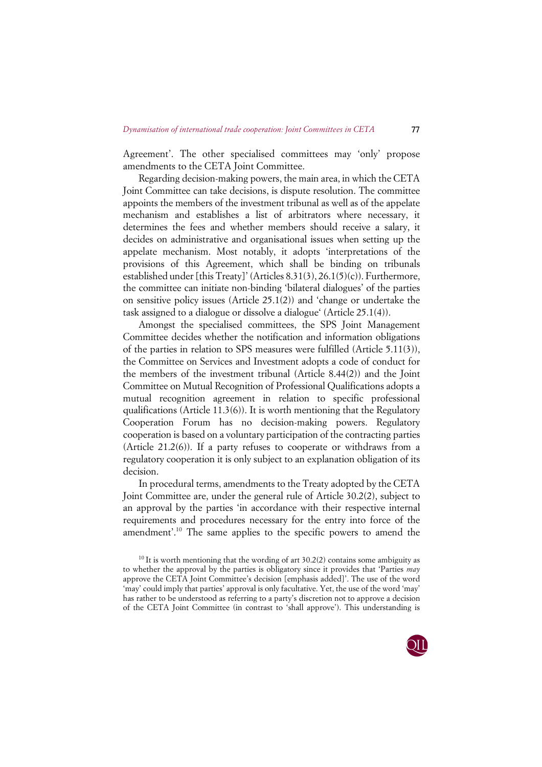Agreement'. The other specialised committees may 'only' propose amendments to the CETA Joint Committee.

Regarding decision-making powers, the main area, in which the CETA Joint Committee can take decisions, is dispute resolution. The committee appoints the members of the investment tribunal as well as of the appelate mechanism and establishes a list of arbitrators where necessary, it determines the fees and whether members should receive a salary, it decides on administrative and organisational issues when setting up the appelate mechanism. Most notably, it adopts 'interpretations of the provisions of this Agreement, which shall be binding on tribunals established under [this Treaty]' (Articles 8.31(3), 26.1(5)(c)). Furthermore, the committee can initiate non-binding 'bilateral dialogues' of the parties on sensitive policy issues (Article 25.1(2)) and 'change or undertake the task assigned to a dialogue or dissolve a dialogue' (Article 25.1(4)).

Amongst the specialised committees, the SPS Joint Management Committee decides whether the notification and information obligations of the parties in relation to SPS measures were fulfilled (Article 5.11(3)), the Committee on Services and Investment adopts a code of conduct for the members of the investment tribunal (Article 8.44(2)) and the Joint Committee on Mutual Recognition of Professional Qualifications adopts a mutual recognition agreement in relation to specific professional qualifications (Article 11.3(6)). It is worth mentioning that the Regulatory Cooperation Forum has no decision-making powers. Regulatory cooperation is based on a voluntary participation of the contracting parties (Article 21.2(6)). If a party refuses to cooperate or withdraws from a regulatory cooperation it is only subject to an explanation obligation of its decision.

In procedural terms, amendments to the Treaty adopted by the CETA Joint Committee are, under the general rule of Article 30.2(2), subject to an approval by the parties 'in accordance with their respective internal requirements and procedures necessary for the entry into force of the amendment'.10 The same applies to the specific powers to amend the

<sup>&</sup>lt;sup>10</sup> It is worth mentioning that the wording of art  $30.2(2)$  contains some ambiguity as to whether the approval by the parties is obligatory since it provides that 'Parties *may* approve the CETA Joint Committee's decision [emphasis added]'. The use of the word 'may' could imply that parties' approval is only facultative. Yet, the use of the word 'may' has rather to be understood as referring to a party's discretion not to approve a decision of the CETA Joint Committee (in contrast to 'shall approve'). This understanding is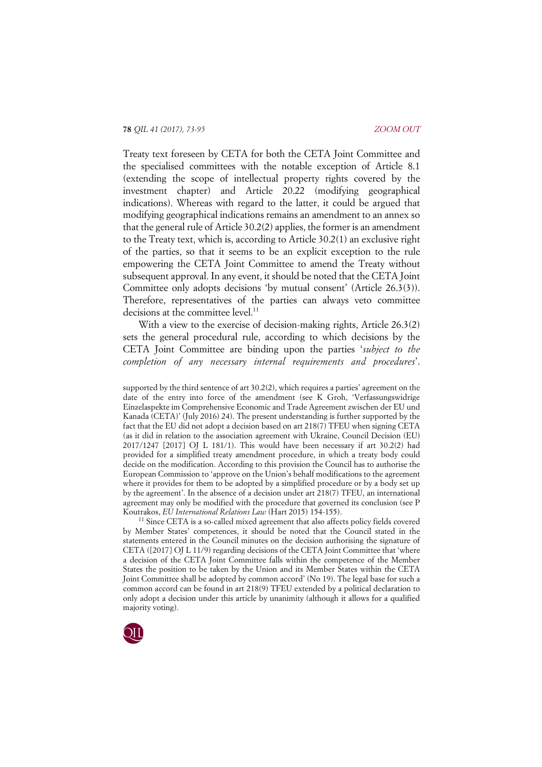Treaty text foreseen by CETA for both the CETA Joint Committee and the specialised committees with the notable exception of Article 8.1 (extending the scope of intellectual property rights covered by the investment chapter) and Article 20.22 (modifying geographical indications). Whereas with regard to the latter, it could be argued that modifying geographical indications remains an amendment to an annex so that the general rule of Article 30.2(2) applies, the former is an amendment to the Treaty text, which is, according to Article 30.2(1) an exclusive right of the parties, so that it seems to be an explicit exception to the rule empowering the CETA Joint Committee to amend the Treaty without subsequent approval. In any event, it should be noted that the CETA Joint Committee only adopts decisions 'by mutual consent' (Article 26.3(3)). Therefore, representatives of the parties can always veto committee decisions at the committee level.<sup>11</sup>

With a view to the exercise of decision-making rights, Article 26.3(2) sets the general procedural rule, according to which decisions by the CETA Joint Committee are binding upon the parties '*subject to the completion of any necessary internal requirements and procedures*'.

<sup>11</sup> Since CETA is a so-called mixed agreement that also affects policy fields covered by Member States' competences, it should be noted that the Council stated in the statements entered in the Council minutes on the decision authorising the signature of CETA ([2017] OJ L 11/9) regarding decisions of the CETA Joint Committee that 'where a decision of the CETA Joint Committee falls within the competence of the Member States the position to be taken by the Union and its Member States within the CETA Joint Committee shall be adopted by common accord' (No 19). The legal base for such a common accord can be found in art 218(9) TFEU extended by a political declaration to only adopt a decision under this article by unanimity (although it allows for a qualified majority voting).



supported by the third sentence of art 30.2(2), which requires a parties' agreement on the date of the entry into force of the amendment (see K Groh, 'Verfassungswidrige Einzelaspekte im Comprehensive Economic and Trade Agreement zwischen der EU und Kanada (CETA)' (July 2016) 24). The present understanding is further supported by the fact that the EU did not adopt a decision based on art 218(7) TFEU when signing CETA (as it did in relation to the association agreement with Ukraine, Council Decision (EU) 2017/1247 [2017] OJ L 181/1). This would have been necessary if art 30.2(2) had provided for a simplified treaty amendment procedure, in which a treaty body could decide on the modification. According to this provision the Council has to authorise the European Commission to 'approve on the Union's behalf modifications to the agreement where it provides for them to be adopted by a simplified procedure or by a body set up by the agreement'. In the absence of a decision under art 218(7) TFEU, an international agreement may only be modified with the procedure that governed its conclusion (see P Koutrakos, *EU International Relations Law* (Hart 2015) 154-155).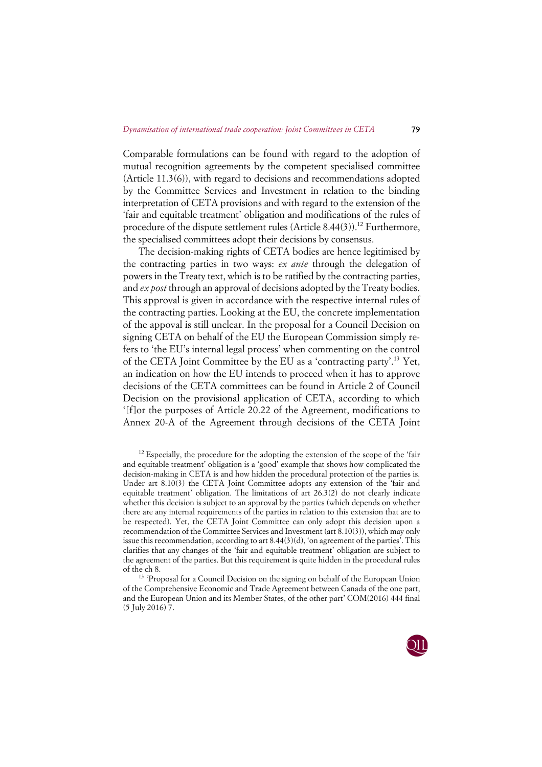Comparable formulations can be found with regard to the adoption of mutual recognition agreements by the competent specialised committee (Article 11.3(6)), with regard to decisions and recommendations adopted by the Committee Services and Investment in relation to the binding interpretation of CETA provisions and with regard to the extension of the 'fair and equitable treatment' obligation and modifications of the rules of procedure of the dispute settlement rules  $(A$ rticle  $8.44(3)$ ).<sup>12</sup> Furthermore, the specialised committees adopt their decisions by consensus.

The decision-making rights of CETA bodies are hence legitimised by the contracting parties in two ways: *ex ante* through the delegation of powers in the Treaty text, which is to be ratified by the contracting parties, and *ex post* through an approval of decisions adopted by the Treaty bodies. This approval is given in accordance with the respective internal rules of the contracting parties. Looking at the EU, the concrete implementation of the appoval is still unclear. In the proposal for a Council Decision on signing CETA on behalf of the EU the European Commission simply refers to 'the EU's internal legal process' when commenting on the control of the CETA Joint Committee by the EU as a 'contracting party'.13 Yet, an indication on how the EU intends to proceed when it has to approve decisions of the CETA committees can be found in Article 2 of Council Decision on the provisional application of CETA, according to which '[f]or the purposes of Article 20.22 of the Agreement, modifications to Annex 20-A of the Agreement through decisions of the CETA Joint

<sup>13</sup> 'Proposal for a Council Decision on the signing on behalf of the European Union of the Comprehensive Economic and Trade Agreement between Canada of the one part, and the European Union and its Member States, of the other part' COM(2016) 444 final (5 July 2016) 7.



 $12$  Especially, the procedure for the adopting the extension of the scope of the 'fair and equitable treatment' obligation is a 'good' example that shows how complicated the decision-making in CETA is and how hidden the procedural protection of the parties is. Under art 8.10(3) the CETA Joint Committee adopts any extension of the 'fair and equitable treatment' obligation. The limitations of art 26.3(2) do not clearly indicate whether this decision is subject to an approval by the parties (which depends on whether there are any internal requirements of the parties in relation to this extension that are to be respected). Yet, the CETA Joint Committee can only adopt this decision upon a recommendation of the Committee Services and Investment (art 8.10(3)), which may only issue this recommendation, according to art  $8.44(3)(d)$ , 'on agreement of the parties'. This clarifies that any changes of the 'fair and equitable treatment' obligation are subject to the agreement of the parties. But this requirement is quite hidden in the procedural rules of the ch 8.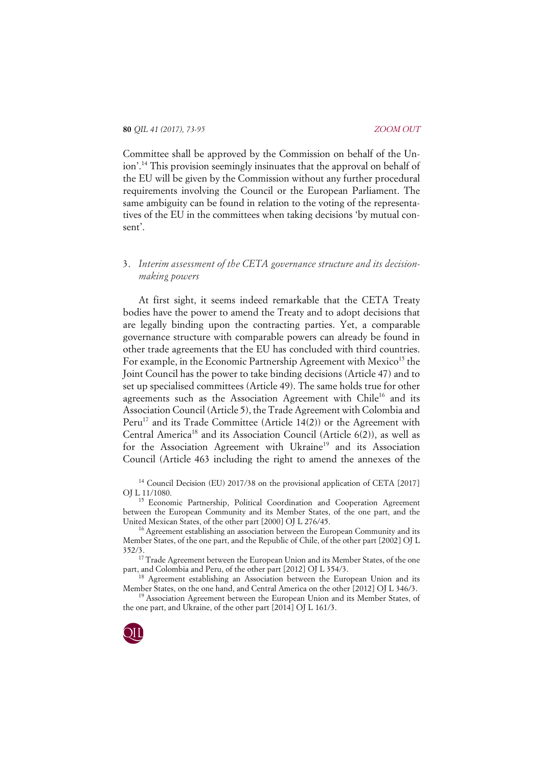Committee shall be approved by the Commission on behalf of the Union'.14 This provision seemingly insinuates that the approval on behalf of the EU will be given by the Commission without any further procedural requirements involving the Council or the European Parliament. The same ambiguity can be found in relation to the voting of the representatives of the EU in the committees when taking decisions 'by mutual consent'.

# 3. *Interim assessment of the CETA governance structure and its decisionmaking powers*

At first sight, it seems indeed remarkable that the CETA Treaty bodies have the power to amend the Treaty and to adopt decisions that are legally binding upon the contracting parties. Yet, a comparable governance structure with comparable powers can already be found in other trade agreements that the EU has concluded with third countries. For example, in the Economic Partnership Agreement with Mexico<sup>15</sup> the Joint Council has the power to take binding decisions (Article 47) and to set up specialised committees (Article 49). The same holds true for other agreements such as the Association Agreement with Chile<sup>16</sup> and its Association Council (Article 5), the Trade Agreement with Colombia and Peru<sup>17</sup> and its Trade Committee (Article 14(2)) or the Agreement with Central America<sup>18</sup> and its Association Council (Article  $6(2)$ ), as well as for the Association Agreement with Ukraine<sup>19</sup> and its Association Council (Article 463 including the right to amend the annexes of the

<sup>14</sup> Council Decision (EU) 2017/38 on the provisional application of CETA [2017] OJ L 11/1080.

<sup>15</sup> Economic Partnership, Political Coordination and Cooperation Agreement between the European Community and its Member States, of the one part, and the United Mexican States, of the other part [2000] OJ L 276/45.

<sup>16</sup> Agreement establishing an association between the European Community and its Member States, of the one part, and the Republic of Chile, of the other part [2002] OJ L 352/3.

 $17$  Trade Agreement between the European Union and its Member States, of the one part, and Colombia and Peru, of the other part [2012] OJ L 354/3.

<sup>18</sup> Agreement establishing an Association between the European Union and its Member States, on the one hand, and Central America on the other [2012] OJ L 346/3.

<sup>19</sup> Association Agreement between the European Union and its Member States, of the one part, and Ukraine, of the other part [2014] OJ L 161/3.

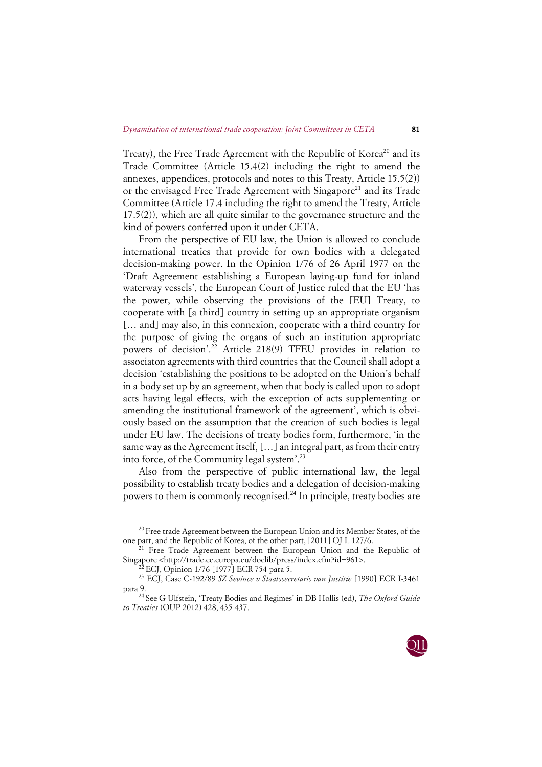Treaty), the Free Trade Agreement with the Republic of Korea<sup>20</sup> and its Trade Committee (Article 15.4(2) including the right to amend the annexes, appendices, protocols and notes to this Treaty, Article 15.5(2)) or the envisaged Free Trade Agreement with Singapore<sup>21</sup> and its Trade Committee (Article 17.4 including the right to amend the Treaty, Article 17.5(2)), which are all quite similar to the governance structure and the kind of powers conferred upon it under CETA.

From the perspective of EU law, the Union is allowed to conclude international treaties that provide for own bodies with a delegated decision-making power. In the Opinion 1/76 of 26 April 1977 on the 'Draft Agreement establishing a European laying-up fund for inland waterway vessels', the European Court of Justice ruled that the EU 'has the power, while observing the provisions of the [EU] Treaty, to cooperate with [a third] country in setting up an appropriate organism [... and] may also, in this connexion, cooperate with a third country for the purpose of giving the organs of such an institution appropriate powers of decision'.<sup>22</sup> Article 218(9) TFEU provides in relation to associaton agreements with third countries that the Council shall adopt a decision 'establishing the positions to be adopted on the Union's behalf in a body set up by an agreement, when that body is called upon to adopt acts having legal effects, with the exception of acts supplementing or amending the institutional framework of the agreement', which is obviously based on the assumption that the creation of such bodies is legal under EU law. The decisions of treaty bodies form, furthermore, 'in the same way as the Agreement itself, […] an integral part, as from their entry into force, of the Community legal system'.23

Also from the perspective of public international law, the legal possibility to establish treaty bodies and a delegation of decision-making powers to them is commonly recognised.<sup>24</sup> In principle, treaty bodies are

<sup>&</sup>lt;sup>20</sup> Free trade Agreement between the European Union and its Member States, of the one part, and the Republic of Korea, of the other part, [2011] OJ L 127/6.

<sup>&</sup>lt;sup>21</sup> Free Trade Agreement between the European Union and the Republic of Singapore <http://trade.ec.europa.eu/doclib/press/index.cfm?id=961>.

<sup>&</sup>lt;sup>2</sup> ECJ, Opinion 1/76 [1977] ECR 754 para 5.

<sup>23</sup> ECJ, Case C-192/89 *SZ Sevince v Staatssecretaris van Justitie* [1990] ECR I-3461 para 9.

<sup>24</sup> See G Ulfstein, 'Treaty Bodies and Regimes' in DB Hollis (ed), *The Oxford Guide to Treaties* (OUP 2012) 428, 435-437.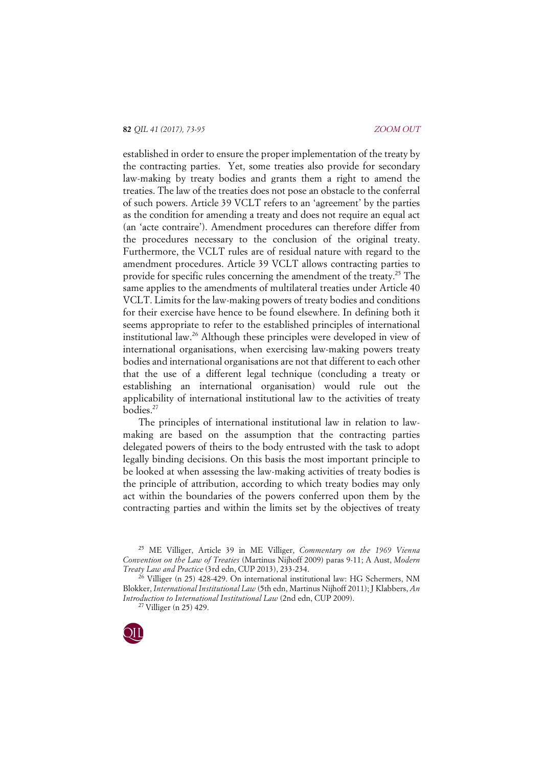established in order to ensure the proper implementation of the treaty by the contracting parties. Yet, some treaties also provide for secondary law-making by treaty bodies and grants them a right to amend the treaties. The law of the treaties does not pose an obstacle to the conferral of such powers. Article 39 VCLT refers to an 'agreement' by the parties as the condition for amending a treaty and does not require an equal act (an 'acte contraire'). Amendment procedures can therefore differ from the procedures necessary to the conclusion of the original treaty. Furthermore, the VCLT rules are of residual nature with regard to the amendment procedures. Article 39 VCLT allows contracting parties to provide for specific rules concerning the amendment of the treaty.25 The same applies to the amendments of multilateral treaties under Article 40 VCLT. Limits for the law-making powers of treaty bodies and conditions for their exercise have hence to be found elsewhere. In defining both it seems appropriate to refer to the established principles of international institutional law.26 Although these principles were developed in view of international organisations, when exercising law-making powers treaty bodies and international organisations are not that different to each other that the use of a different legal technique (concluding a treaty or establishing an international organisation) would rule out the applicability of international institutional law to the activities of treaty bodies.<sup>27</sup>

The principles of international institutional law in relation to lawmaking are based on the assumption that the contracting parties delegated powers of theirs to the body entrusted with the task to adopt legally binding decisions. On this basis the most important principle to be looked at when assessing the law-making activities of treaty bodies is the principle of attribution, according to which treaty bodies may only act within the boundaries of the powers conferred upon them by the contracting parties and within the limits set by the objectives of treaty

<sup>27</sup> Villiger (n 25) 429.



<sup>25</sup> ME Villiger, Article 39 in ME Villiger, *Commentary on the 1969 Vienna Convention on the Law of Treaties* (Martinus Nijhoff 2009) paras 9-11; A Aust, *Modern Treaty Law and Practic*e (3rd edn, CUP 2013), 233-234.

 $^{26}$  Villiger (n 25) 428-429. On international institutional law: HG Schermers, NM Blokker, *International Institutional Law* (5th edn, Martinus Nijhoff 2011); J Klabbers, *An Introduction to International Institutional Law* (2nd edn, CUP 2009).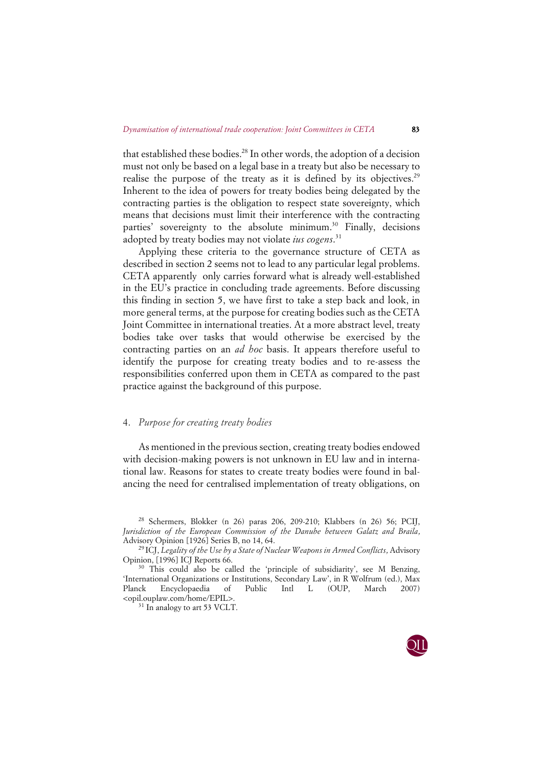that established these bodies.<sup>28</sup> In other words, the adoption of a decision must not only be based on a legal base in a treaty but also be necessary to realise the purpose of the treaty as it is defined by its objectives.<sup>29</sup> Inherent to the idea of powers for treaty bodies being delegated by the contracting parties is the obligation to respect state sovereignty, which means that decisions must limit their interference with the contracting parties' sovereignty to the absolute minimum.<sup>30</sup> Finally, decisions adopted by treaty bodies may not violate *ius cogens*. 31

Applying these criteria to the governance structure of CETA as described in section 2 seems not to lead to any particular legal problems. CETA apparently only carries forward what is already well-established in the EU's practice in concluding trade agreements. Before discussing this finding in section 5, we have first to take a step back and look, in more general terms, at the purpose for creating bodies such as the CETA Joint Committee in international treaties. At a more abstract level, treaty bodies take over tasks that would otherwise be exercised by the contracting parties on an *ad hoc* basis. It appears therefore useful to identify the purpose for creating treaty bodies and to re-assess the responsibilities conferred upon them in CETA as compared to the past practice against the background of this purpose.

# 4. *Purpose for creating treaty bodies*

As mentioned in the previous section, creating treaty bodies endowed with decision-making powers is not unknown in EU law and in international law. Reasons for states to create treaty bodies were found in balancing the need for centralised implementation of treaty obligations, on

<sup>31</sup> In analogy to art 53 VCLT.



<sup>28</sup> Schermers, Blokker (n 26) paras 206, 209-210; Klabbers (n 26) 56; PCIJ, *Jurisdiction of the European Commission of the Danube between Galatz and Braila*, Advisory Opinion [1926] Series B, no 14, 64.

<sup>29</sup> ICJ, *Legality of the Use by a State of Nuclear Weapons in Armed Conflicts*, Advisory Opinion, [1996] ICJ Reports 66.

<sup>&</sup>lt;sup>30</sup> This could also be called the 'principle of subsidiarity', see M Benzing, 'International Organizations or Institutions, Secondary Law', in R Wolfrum (ed.), Max Planck Encyclopaedia of Public Intl L (OUP, March 2007) <opil.ouplaw.com/home/EPIL>.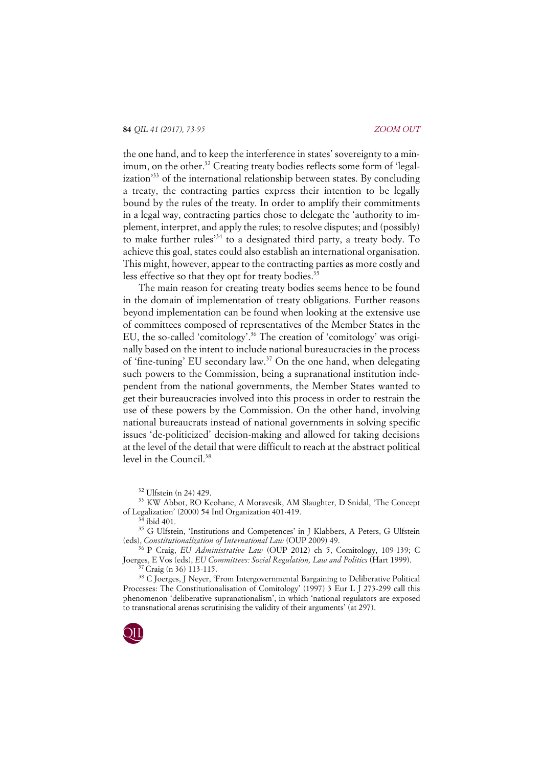the one hand, and to keep the interference in states' sovereignty to a minimum, on the other.<sup>32</sup> Creating treaty bodies reflects some form of 'legalization'33 of the international relationship between states. By concluding a treaty, the contracting parties express their intention to be legally bound by the rules of the treaty. In order to amplify their commitments in a legal way, contracting parties chose to delegate the 'authority to implement, interpret, and apply the rules; to resolve disputes; and (possibly) to make further rules'34 to a designated third party, a treaty body. To achieve this goal, states could also establish an international organisation. This might, however, appear to the contracting parties as more costly and less effective so that they opt for treaty bodies.<sup>35</sup>

The main reason for creating treaty bodies seems hence to be found in the domain of implementation of treaty obligations. Further reasons beyond implementation can be found when looking at the extensive use of committees composed of representatives of the Member States in the EU, the so-called 'comitology'.36 The creation of 'comitology' was originally based on the intent to include national bureaucracies in the process of 'fine-tuning' EU secondary law. $37$  On the one hand, when delegating such powers to the Commission, being a supranational institution independent from the national governments, the Member States wanted to get their bureaucracies involved into this process in order to restrain the use of these powers by the Commission. On the other hand, involving national bureaucrats instead of national governments in solving specific issues 'de-politicized' decision-making and allowed for taking decisions at the level of the detail that were difficult to reach at the abstract political level in the Council.<sup>38</sup>

<sup>32</sup> Ulfstein (n 24) 429.

<sup>33</sup> KW Abbot, RO Keohane, A Moravcsik, AM Slaughter, D Snidal, 'The Concept of Legalization' (2000) 54 Intl Organization 401-419.

ibid 401.

<sup>35</sup> G Ulfstein, 'Institutions and Competences' in J Klabbers, A Peters, G Ulfstein (eds), *Constitutionalization of International Law* (OUP 2009) 49.

<sup>36</sup> P Craig, *EU Administrative Law* (OUP 2012) ch 5, Comitology, 109-139; C Joerges, E Vos (eds), *EU Committees: Social Regulation, Law and Politics* (Hart 1999).

Craig (n 36) 113-115.

<sup>38</sup> C Joerges, J Neyer, 'From Intergovernmental Bargaining to Deliberative Political Processes: The Constitutionalisation of Comitology' (1997) 3 Eur L J 273-299 call this phenomenon 'deliberative supranationalism', in which 'national regulators are exposed to transnational arenas scrutinising the validity of their arguments' (at 297).

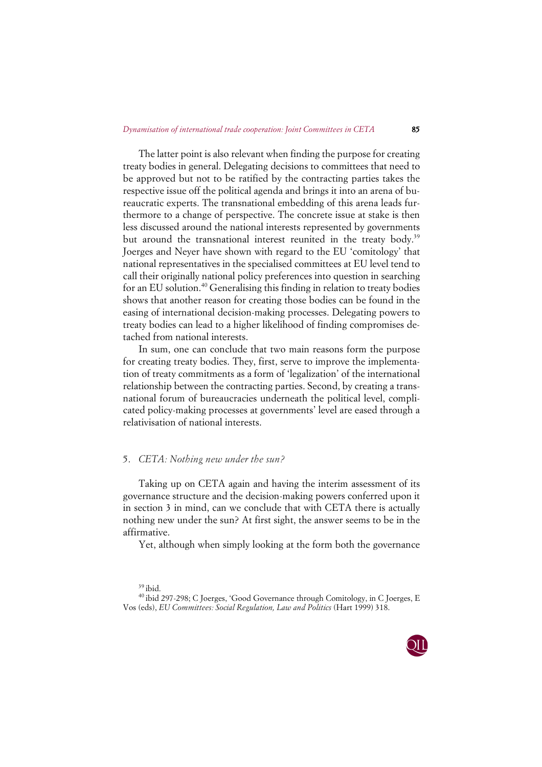The latter point is also relevant when finding the purpose for creating treaty bodies in general. Delegating decisions to committees that need to be approved but not to be ratified by the contracting parties takes the respective issue off the political agenda and brings it into an arena of bureaucratic experts. The transnational embedding of this arena leads furthermore to a change of perspective. The concrete issue at stake is then less discussed around the national interests represented by governments but around the transnational interest reunited in the treaty body.<sup>39</sup> Joerges and Neyer have shown with regard to the EU 'comitology' that national representatives in the specialised committees at EU level tend to call their originally national policy preferences into question in searching for an EU solution.<sup>40</sup> Generalising this finding in relation to treaty bodies shows that another reason for creating those bodies can be found in the easing of international decision-making processes. Delegating powers to treaty bodies can lead to a higher likelihood of finding compromises detached from national interests.

In sum, one can conclude that two main reasons form the purpose for creating treaty bodies. They, first, serve to improve the implementation of treaty commitments as a form of 'legalization' of the international relationship between the contracting parties. Second, by creating a transnational forum of bureaucracies underneath the political level, complicated policy-making processes at governments' level are eased through a relativisation of national interests.

## 5. *CETA: Nothing new under the sun?*

Taking up on CETA again and having the interim assessment of its governance structure and the decision-making powers conferred upon it in section 3 in mind, can we conclude that with CETA there is actually nothing new under the sun? At first sight, the answer seems to be in the affirmative.

Yet, although when simply looking at the form both the governance

<sup>40</sup> ibid 297-298; C Joerges, 'Good Governance through Comitology, in C Joerges, E Vos (eds), *EU Committees: Social Regulation, Law and Politics* (Hart 1999) 318.



 $39$  ibid.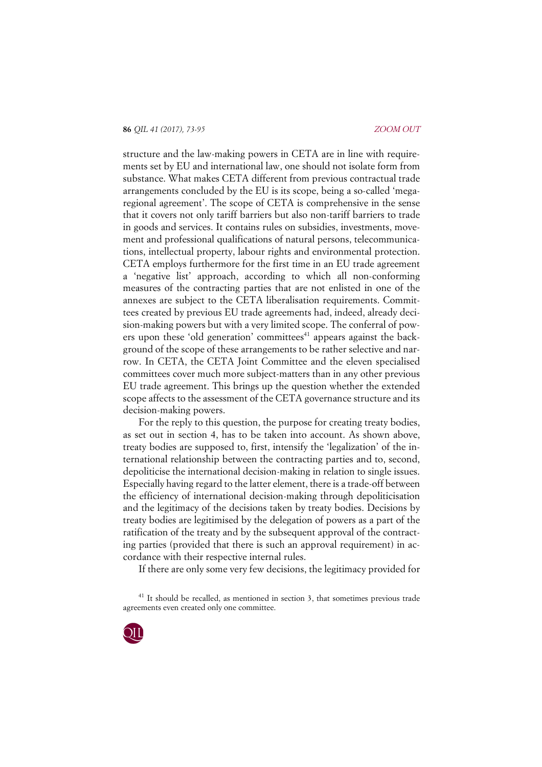structure and the law-making powers in CETA are in line with requirements set by EU and international law, one should not isolate form from substance. What makes CETA different from previous contractual trade arrangements concluded by the EU is its scope, being a so-called 'megaregional agreement'. The scope of CETA is comprehensive in the sense that it covers not only tariff barriers but also non-tariff barriers to trade in goods and services. It contains rules on subsidies, investments, movement and professional qualifications of natural persons, telecommunications, intellectual property, labour rights and environmental protection. CETA employs furthermore for the first time in an EU trade agreement a 'negative list' approach, according to which all non-conforming measures of the contracting parties that are not enlisted in one of the annexes are subject to the CETA liberalisation requirements. Committees created by previous EU trade agreements had, indeed, already decision-making powers but with a very limited scope. The conferral of powers upon these 'old generation' committees<sup>41</sup> appears against the background of the scope of these arrangements to be rather selective and narrow. In CETA, the CETA Joint Committee and the eleven specialised committees cover much more subject-matters than in any other previous EU trade agreement. This brings up the question whether the extended scope affects to the assessment of the CETA governance structure and its decision-making powers.

For the reply to this question, the purpose for creating treaty bodies, as set out in section 4, has to be taken into account. As shown above, treaty bodies are supposed to, first, intensify the 'legalization' of the international relationship between the contracting parties and to, second, depoliticise the international decision-making in relation to single issues. Especially having regard to the latter element, there is a trade-off between the efficiency of international decision-making through depoliticisation and the legitimacy of the decisions taken by treaty bodies. Decisions by treaty bodies are legitimised by the delegation of powers as a part of the ratification of the treaty and by the subsequent approval of the contracting parties (provided that there is such an approval requirement) in accordance with their respective internal rules.

If there are only some very few decisions, the legitimacy provided for

 $41$  It should be recalled, as mentioned in section 3, that sometimes previous trade agreements even created only one committee.

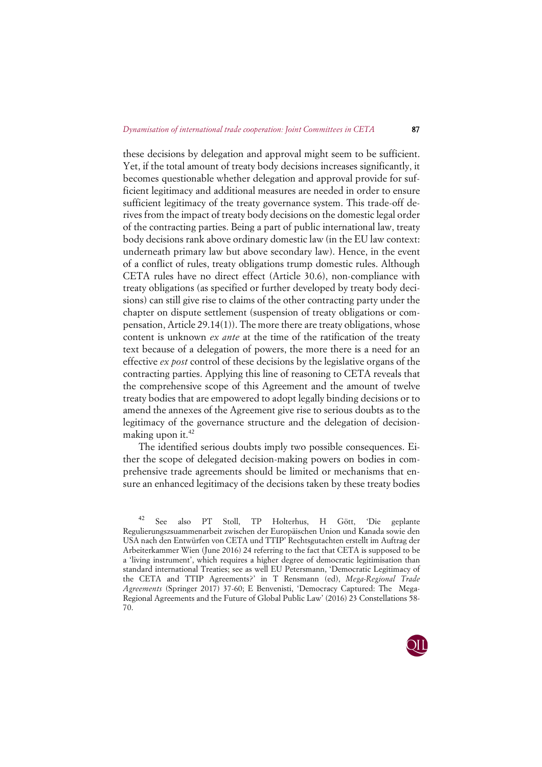these decisions by delegation and approval might seem to be sufficient. Yet, if the total amount of treaty body decisions increases significantly, it becomes questionable whether delegation and approval provide for sufficient legitimacy and additional measures are needed in order to ensure sufficient legitimacy of the treaty governance system. This trade-off derives from the impact of treaty body decisions on the domestic legal order of the contracting parties. Being a part of public international law, treaty body decisions rank above ordinary domestic law (in the EU law context: underneath primary law but above secondary law). Hence, in the event of a conflict of rules, treaty obligations trump domestic rules. Although CETA rules have no direct effect (Article 30.6), non-compliance with treaty obligations (as specified or further developed by treaty body decisions) can still give rise to claims of the other contracting party under the chapter on dispute settlement (suspension of treaty obligations or compensation, Article 29.14(1)). The more there are treaty obligations, whose content is unknown *ex ante* at the time of the ratification of the treaty text because of a delegation of powers, the more there is a need for an effective *ex post* control of these decisions by the legislative organs of the contracting parties. Applying this line of reasoning to CETA reveals that the comprehensive scope of this Agreement and the amount of twelve treaty bodies that are empowered to adopt legally binding decisions or to amend the annexes of the Agreement give rise to serious doubts as to the legitimacy of the governance structure and the delegation of decisionmaking upon it.<sup>42</sup>

The identified serious doubts imply two possible consequences. Either the scope of delegated decision-making powers on bodies in comprehensive trade agreements should be limited or mechanisms that ensure an enhanced legitimacy of the decisions taken by these treaty bodies

<sup>42</sup> See also PT Stoll, TP Holterhus, H Gött, 'Die geplante Regulierungszsuammenarbeit zwischen der Europäischen Union und Kanada sowie den USA nach den Entwürfen von CETA und TTIP' Rechtsgutachten erstellt im Auftrag der Arbeiterkammer Wien (June 2016) 24 referring to the fact that CETA is supposed to be a 'living instrument', which requires a higher degree of democratic legitimisation than standard international Treaties; see as well EU Petersmann, 'Democratic Legitimacy of the CETA and TTIP Agreements?' in T Rensmann (ed), *Mega-Regional Trade Agreements* (Springer 2017) 37-60; E Benvenisti, 'Democracy Captured: The Mega-Regional Agreements and the Future of Global Public Law' (2016) 23 Constellations 58- 70.

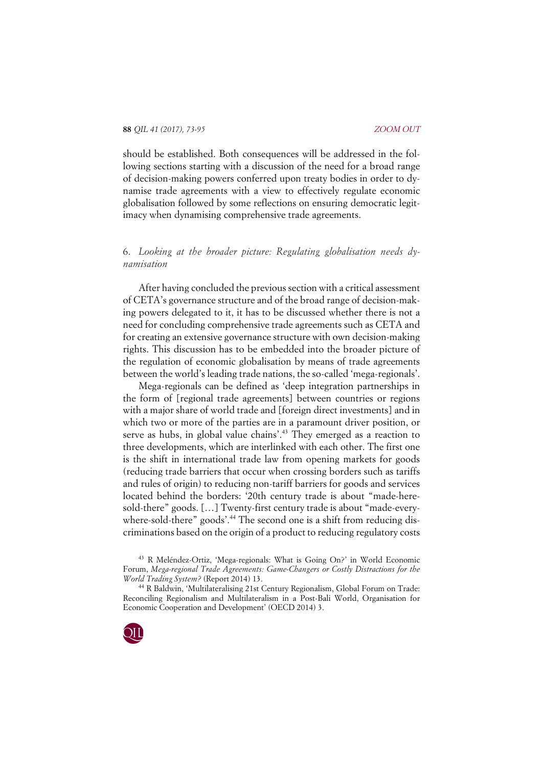should be established. Both consequences will be addressed in the following sections starting with a discussion of the need for a broad range of decision-making powers conferred upon treaty bodies in order to dynamise trade agreements with a view to effectively regulate economic globalisation followed by some reflections on ensuring democratic legitimacy when dynamising comprehensive trade agreements.

# 6. *Looking at the broader picture: Regulating globalisation needs dynamisation*

After having concluded the previous section with a critical assessment of CETA's governance structure and of the broad range of decision-making powers delegated to it, it has to be discussed whether there is not a need for concluding comprehensive trade agreements such as CETA and for creating an extensive governance structure with own decision-making rights. This discussion has to be embedded into the broader picture of the regulation of economic globalisation by means of trade agreements between the world's leading trade nations, the so-called 'mega-regionals'.

Mega-regionals can be defined as 'deep integration partnerships in the form of [regional trade agreements] between countries or regions with a major share of world trade and [foreign direct investments] and in which two or more of the parties are in a paramount driver position, or serve as hubs, in global value chains'.<sup>43</sup> They emerged as a reaction to three developments, which are interlinked with each other. The first one is the shift in international trade law from opening markets for goods (reducing trade barriers that occur when crossing borders such as tariffs and rules of origin) to reducing non-tariff barriers for goods and services located behind the borders: '20th century trade is about "made-heresold-there" goods. […] Twenty-first century trade is about "made-everywhere-sold-there" goods'.<sup>44</sup> The second one is a shift from reducing discriminations based on the origin of a product to reducing regulatory costs

<sup>43</sup> R Meléndez-Ortiz, 'Mega-regionals: What is Going On?' in World Economic Forum, *Mega-regional Trade Agreements: Game-Changers or Costly Distractions for the World Trading System?* (Report 2014) 13.

<sup>44</sup> R Baldwin, 'Multilateralising 21st Century Regionalism, Global Forum on Trade: Reconciling Regionalism and Multilateralism in a Post-Bali World, Organisation for Economic Cooperation and Development' (OECD 2014) 3.

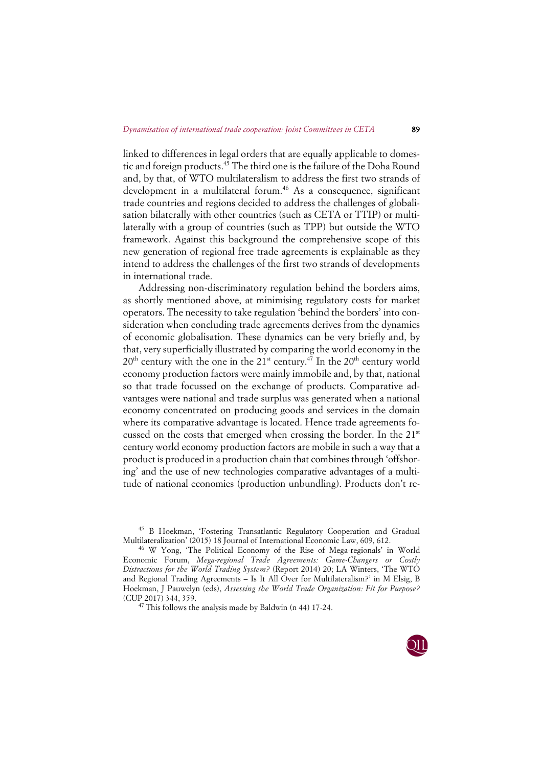linked to differences in legal orders that are equally applicable to domestic and foreign products.45 The third one is the failure of the Doha Round and, by that, of WTO multilateralism to address the first two strands of development in a multilateral forum.<sup>46</sup> As a consequence, significant trade countries and regions decided to address the challenges of globalisation bilaterally with other countries (such as CETA or TTIP) or multilaterally with a group of countries (such as TPP) but outside the WTO framework. Against this background the comprehensive scope of this new generation of regional free trade agreements is explainable as they intend to address the challenges of the first two strands of developments in international trade.

Addressing non-discriminatory regulation behind the borders aims, as shortly mentioned above, at minimising regulatory costs for market operators. The necessity to take regulation 'behind the borders' into consideration when concluding trade agreements derives from the dynamics of economic globalisation. These dynamics can be very briefly and, by that, very superficially illustrated by comparing the world economy in the  $20<sup>th</sup>$  century with the one in the  $21<sup>st</sup>$  century.<sup>47</sup> In the  $20<sup>th</sup>$  century world economy production factors were mainly immobile and, by that, national so that trade focussed on the exchange of products. Comparative advantages were national and trade surplus was generated when a national economy concentrated on producing goods and services in the domain where its comparative advantage is located. Hence trade agreements focussed on the costs that emerged when crossing the border. In the 21<sup>st</sup> century world economy production factors are mobile in such a way that a product is produced in a production chain that combines through 'offshoring' and the use of new technologies comparative advantages of a multitude of national economies (production unbundling). Products don't re-



<sup>45</sup> B Hoekman, 'Fostering Transatlantic Regulatory Cooperation and Gradual Multilateralization' (2015) 18 Journal of International Economic Law, 609, 612.

<sup>46</sup> W Yong, 'The Political Economy of the Rise of Mega-regionals' in World Economic Forum, *Mega-regional Trade Agreements: Game-Changers or Costly Distractions for the World Trading System?* (Report 2014) 20; LA Winters, 'The WTO and Regional Trading Agreements – Is It All Over for Multilateralism?' in M Elsig, B Hoekman, J Pauwelyn (eds), *Assessing the World Trade Organization: Fit for Purpose?* (CUP 2017) 344, 359.

<sup>47</sup> This follows the analysis made by Baldwin (n 44) 17-24.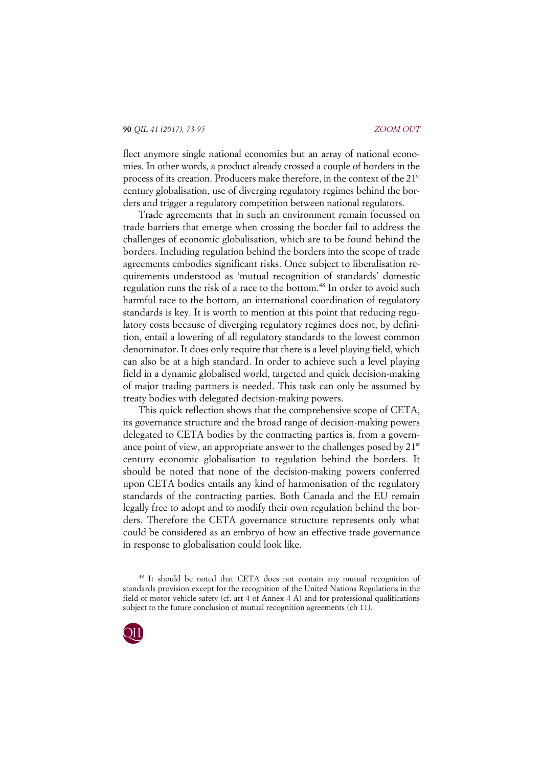flect anymore single national economies but an array of national economies. In other words, a product already crossed a couple of borders in the process of its creation. Producers make therefore, in the context of the 21<sup>st</sup> century globalisation, use of diverging regulatory regimes behind the borders and trigger a regulatory competition between national regulators.

Trade agreements that in such an environment remain focussed on trade barriers that emerge when crossing the border fail to address the challenges of economic globalisation, which are to be found behind the borders. Including regulation behind the borders into the scope of trade agreements embodies significant risks. Once subject to liberalisation requirements understood as 'mutual recognition of standards' domestic regulation runs the risk of a race to the bottom.<sup>48</sup> In order to avoid such harmful race to the bottom, an international coordination of regulatory standards is key. It is worth to mention at this point that reducing regulatory costs because of diverging regulatory regimes does not, by definition, entail a lowering of all regulatory standards to the lowest common denominator. It does only require that there is a level playing field, which can also be at a high standard. In order to achieve such a level playing field in a dynamic globalised world, targeted and quick decision-making of major trading partners is needed. This task can only be assumed by treaty bodies with delegated decision-making powers.

This quick reflection shows that the comprehensive scope of CETA, its governance structure and the broad range of decision-making powers delegated to CETA bodies by the contracting parties is, from a governance point of view, an appropriate answer to the challenges posed by  $21<sup>st</sup>$ century economic globalisation to regulation behind the borders. It should be noted that none of the decision-making powers conferred upon CETA bodies entails any kind of harmonisation of the regulatory standards of the contracting parties. Both Canada and the EU remain legally free to adopt and to modify their own regulation behind the borders. Therefore the CETA governance structure represents only what could be considered as an embryo of how an effective trade governance in response to globalisation could look like.

<sup>48</sup> It should be noted that CETA does not contain any mutual recognition of standards provision except for the recognition of the United Nations Regulations in the field of motor vehicle safety (cf. art 4 of Annex 4-A) and for professional qualifications subject to the future conclusion of mutual recognition agreements (ch 11).

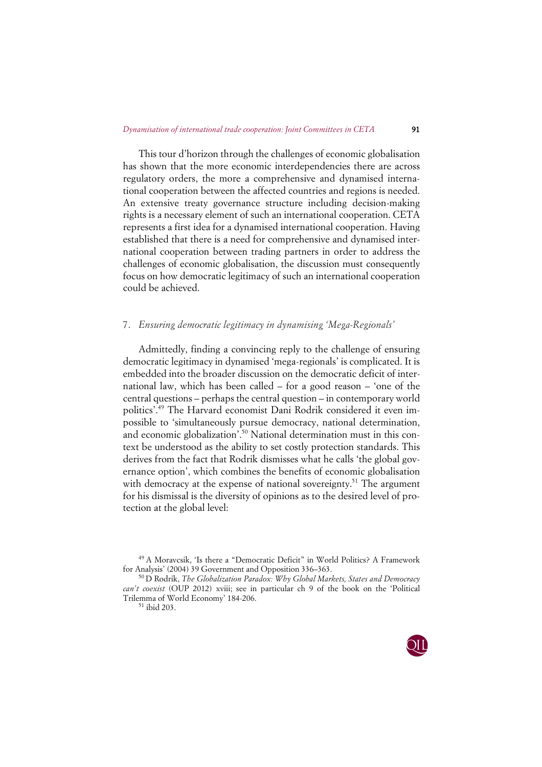This tour d'horizon through the challenges of economic globalisation has shown that the more economic interdependencies there are across regulatory orders, the more a comprehensive and dynamised international cooperation between the affected countries and regions is needed. An extensive treaty governance structure including decision-making rights is a necessary element of such an international cooperation. CETA represents a first idea for a dynamised international cooperation. Having established that there is a need for comprehensive and dynamised international cooperation between trading partners in order to address the challenges of economic globalisation, the discussion must consequently focus on how democratic legitimacy of such an international cooperation could be achieved.

## 7. *Ensuring democratic legitimacy in dynamising 'Mega-Regionals'*

Admittedly, finding a convincing reply to the challenge of ensuring democratic legitimacy in dynamised 'mega-regionals' is complicated. It is embedded into the broader discussion on the democratic deficit of international law, which has been called – for a good reason – 'one of the central questions – perhaps the central question – in contemporary world politics'.49 The Harvard economist Dani Rodrik considered it even impossible to 'simultaneously pursue democracy, national determination, and economic globalization<sup>'.50</sup> National determination must in this context be understood as the ability to set costly protection standards. This derives from the fact that Rodrik dismisses what he calls 'the global governance option', which combines the benefits of economic globalisation with democracy at the expense of national sovereignty.<sup>51</sup> The argument for his dismissal is the diversity of opinions as to the desired level of protection at the global level:



<sup>49</sup> A Moravcsik, 'Is there a "Democratic Deficit" in World Politics? A Framework for Analysis' (2004) 39 Government and Opposition 336–363.

<sup>50</sup> D Rodrik, *The Globalization Paradox: Why Global Markets, States and Democracy can't coexist* (OUP 2012) xviii; see in particular ch 9 of the book on the 'Political Trilemma of World Economy' 184-206.

<sup>51</sup> ibid 203.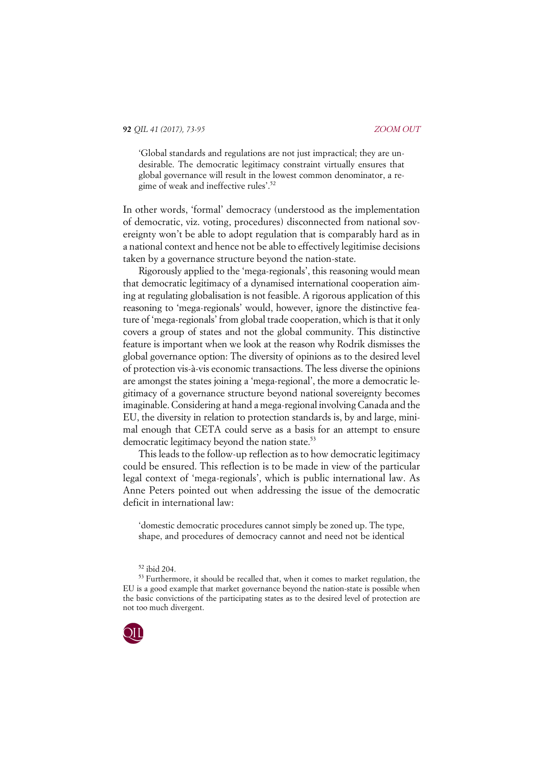'Global standards and regulations are not just impractical; they are undesirable. The democratic legitimacy constraint virtually ensures that global governance will result in the lowest common denominator, a regime of weak and ineffective rules'.<sup>52</sup>

In other words, 'formal' democracy (understood as the implementation of democratic, viz. voting, procedures) disconnected from national sovereignty won't be able to adopt regulation that is comparably hard as in a national context and hence not be able to effectively legitimise decisions taken by a governance structure beyond the nation-state.

Rigorously applied to the 'mega-regionals', this reasoning would mean that democratic legitimacy of a dynamised international cooperation aiming at regulating globalisation is not feasible. A rigorous application of this reasoning to 'mega-regionals' would, however, ignore the distinctive feature of 'mega-regionals' from global trade cooperation, which is that it only covers a group of states and not the global community. This distinctive feature is important when we look at the reason why Rodrik dismisses the global governance option: The diversity of opinions as to the desired level of protection vis-à-vis economic transactions. The less diverse the opinions are amongst the states joining a 'mega-regional', the more a democratic legitimacy of a governance structure beyond national sovereignty becomes imaginable. Considering at hand a mega-regional involving Canada and the EU, the diversity in relation to protection standards is, by and large, minimal enough that CETA could serve as a basis for an attempt to ensure democratic legitimacy beyond the nation state.<sup>53</sup>

This leads to the follow-up reflection as to how democratic legitimacy could be ensured. This reflection is to be made in view of the particular legal context of 'mega-regionals', which is public international law. As Anne Peters pointed out when addressing the issue of the democratic deficit in international law:

'domestic democratic procedures cannot simply be zoned up. The type, shape, and procedures of democracy cannot and need not be identical

<sup>&</sup>lt;sup>53</sup> Furthermore, it should be recalled that, when it comes to market regulation, the EU is a good example that market governance beyond the nation-state is possible when the basic convictions of the participating states as to the desired level of protection are not too much divergent.



<sup>52</sup> ibid 204.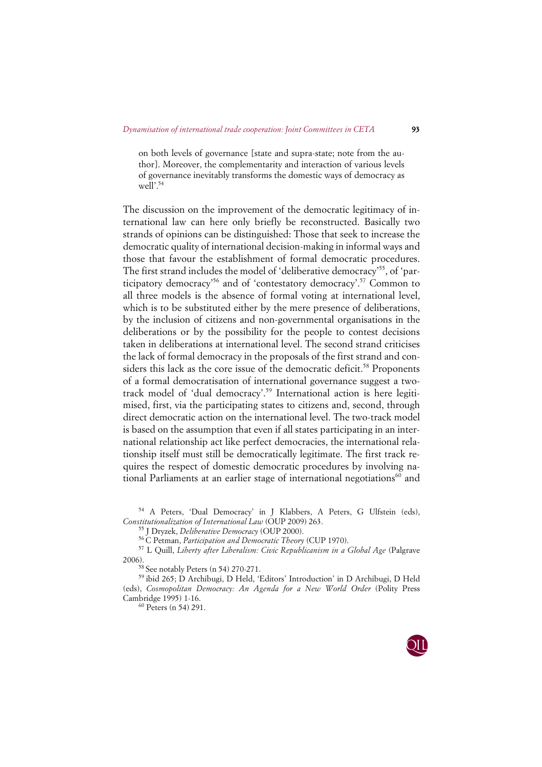on both levels of governance [state and supra-state; note from the author]. Moreover, the complementarity and interaction of various levels of governance inevitably transforms the domestic ways of democracy as  $we\bar{dl}'$ .<sup>54</sup>

The discussion on the improvement of the democratic legitimacy of international law can here only briefly be reconstructed. Basically two strands of opinions can be distinguished: Those that seek to increase the democratic quality of international decision-making in informal ways and those that favour the establishment of formal democratic procedures. The first strand includes the model of 'deliberative democracy'<sup>55</sup>, of 'participatory democracy'56 and of 'contestatory democracy'.57 Common to all three models is the absence of formal voting at international level, which is to be substituted either by the mere presence of deliberations, by the inclusion of citizens and non-governmental organisations in the deliberations or by the possibility for the people to contest decisions taken in deliberations at international level. The second strand criticises the lack of formal democracy in the proposals of the first strand and considers this lack as the core issue of the democratic deficit.<sup>58</sup> Proponents of a formal democratisation of international governance suggest a twotrack model of 'dual democracy'.59 International action is here legitimised, first, via the participating states to citizens and, second, through direct democratic action on the international level. The two-track model is based on the assumption that even if all states participating in an international relationship act like perfect democracies, the international relationship itself must still be democratically legitimate. The first track requires the respect of domestic democratic procedures by involving national Parliaments at an earlier stage of international negotiations $^{60}$  and

<sup>54</sup> A Peters, 'Dual Democracy' in J Klabbers, A Peters, G Ulfstein (eds), *Constitutionalization of International Law* (OUP 2009) 263.

<sup>55</sup> J Dryzek, *Deliberative Democracy* (OUP 2000).

<sup>56</sup> C Petman, *Participation and Democratic Theory* (CUP 1970).

<sup>57</sup> L Quill, *Liberty after Liberalism: Civic Republicanism in a Global Age* (Palgrave 2006).

 $58$  See notably Peters (n 54) 270-271.

<sup>59</sup> ibid 265; D Archibugi, D Held, 'Editors' Introduction' in D Archibugi, D Held (eds), *Cosmopolitan Democracy: An Agenda for a New World Order* (Polity Press Cambridge 1995) 1-16.

<sup>60</sup> Peters (n 54) 291.

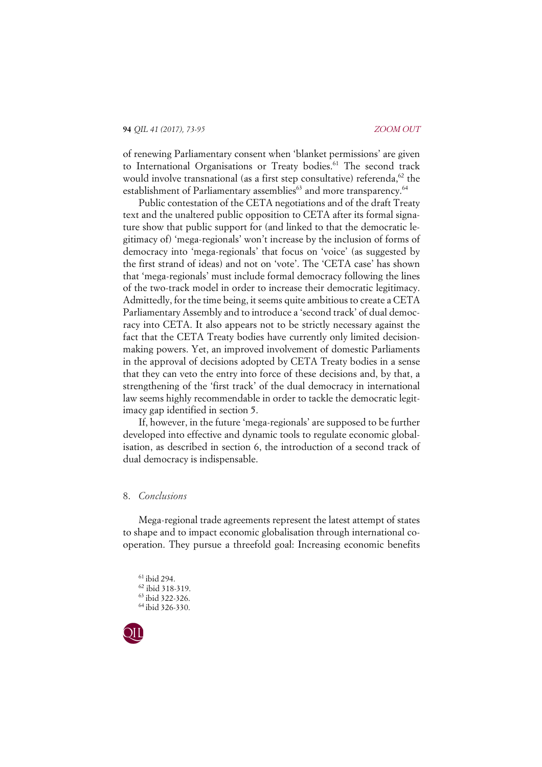of renewing Parliamentary consent when 'blanket permissions' are given to International Organisations or Treaty bodies.<sup>61</sup> The second track would involve transnational (as a first step consultative) referenda,  $62$  the establishment of Parliamentary assemblies<sup>63</sup> and more transparency.<sup>64</sup>

Public contestation of the CETA negotiations and of the draft Treaty text and the unaltered public opposition to CETA after its formal signature show that public support for (and linked to that the democratic legitimacy of) 'mega-regionals' won't increase by the inclusion of forms of democracy into 'mega-regionals' that focus on 'voice' (as suggested by the first strand of ideas) and not on 'vote'. The 'CETA case' has shown that 'mega-regionals' must include formal democracy following the lines of the two-track model in order to increase their democratic legitimacy. Admittedly, for the time being, it seems quite ambitious to create a CETA Parliamentary Assembly and to introduce a 'second track' of dual democracy into CETA. It also appears not to be strictly necessary against the fact that the CETA Treaty bodies have currently only limited decisionmaking powers. Yet, an improved involvement of domestic Parliaments in the approval of decisions adopted by CETA Treaty bodies in a sense that they can veto the entry into force of these decisions and, by that, a strengthening of the 'first track' of the dual democracy in international law seems highly recommendable in order to tackle the democratic legitimacy gap identified in section 5.

If, however, in the future 'mega-regionals' are supposed to be further developed into effective and dynamic tools to regulate economic globalisation, as described in section 6, the introduction of a second track of dual democracy is indispensable.

## 8. *Conclusions*

Mega-regional trade agreements represent the latest attempt of states to shape and to impact economic globalisation through international cooperation. They pursue a threefold goal: Increasing economic benefits

 ibid 294.  $^{62}$  ibid 318-319. ibid 322-326. ibid 326-330.